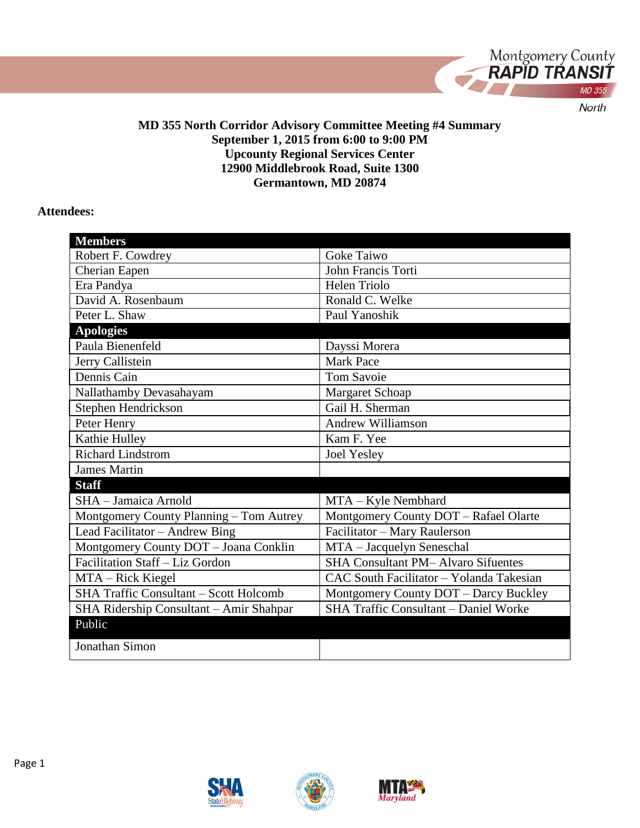

#### **MD 355 North Corridor Advisory Committee Meeting #4 Summary September 1, 2015 from 6:00 to 9:00 PM Upcounty Regional Services Center 12900 Middlebrook Road, Suite 1300 Germantown, MD 20874**

#### **Attendees:**

| <b>Members</b>                                |                                           |
|-----------------------------------------------|-------------------------------------------|
| Robert F. Cowdrey                             | <b>Goke Taiwo</b>                         |
| Cherian Eapen                                 | John Francis Torti                        |
| Era Pandya                                    | <b>Helen Triolo</b>                       |
| David A. Rosenbaum                            | Ronald C. Welke                           |
| Peter L. Shaw                                 | Paul Yanoshik                             |
| <b>Apologies</b>                              |                                           |
| Paula Bienenfeld                              | Dayssi Morera                             |
| Jerry Callistein                              | <b>Mark Pace</b>                          |
| Dennis Cain                                   | <b>Tom Savoie</b>                         |
| Nallathamby Devasahayam                       | Margaret Schoap                           |
| Stephen Hendrickson                           | Gail H. Sherman                           |
| Peter Henry                                   | <b>Andrew Williamson</b>                  |
| Kathie Hulley                                 | Kam F. Yee                                |
| <b>Richard Lindstrom</b>                      | <b>Joel Yesley</b>                        |
| <b>James Martin</b>                           |                                           |
| <b>Staff</b>                                  |                                           |
| SHA - Jamaica Arnold                          | MTA – Kyle Nembhard                       |
| Montgomery County Planning - Tom Autrey       | Montgomery County DOT - Rafael Olarte     |
| Lead Facilitator - Andrew Bing                | Facilitator - Mary Raulerson              |
| Montgomery County DOT - Joana Conklin         | MTA - Jacquelyn Seneschal                 |
| Facilitation Staff - Liz Gordon               | <b>SHA Consultant PM-Alvaro Sifuentes</b> |
| MTA - Rick Kiegel                             | CAC South Facilitator - Yolanda Takesian  |
| <b>SHA Traffic Consultant – Scott Holcomb</b> | Montgomery County DOT - Darcy Buckley     |
| SHA Ridership Consultant - Amir Shahpar       | SHA Traffic Consultant - Daniel Worke     |
| Public                                        |                                           |
| Jonathan Simon                                |                                           |
|                                               |                                           |



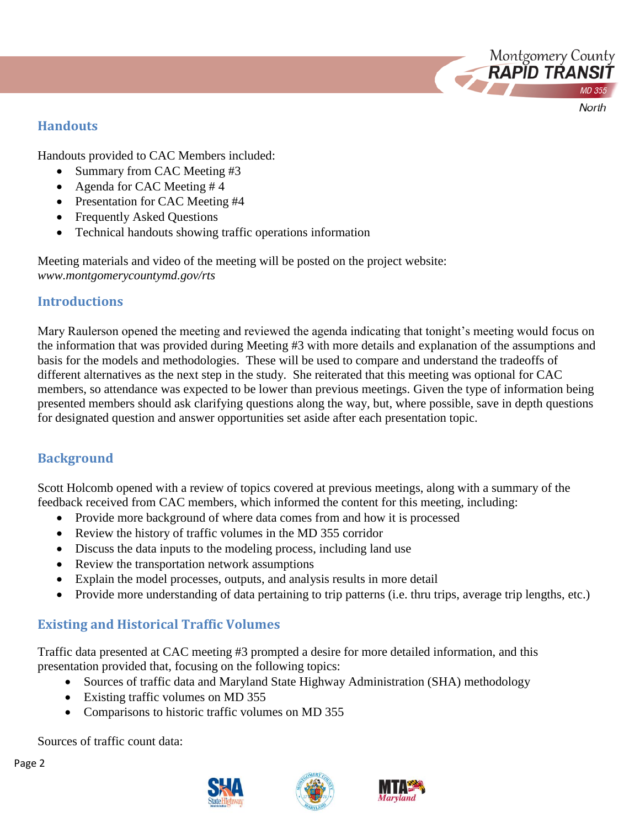**Handouts**

Handouts provided to CAC Members included:

- Summary from CAC Meeting #3
- Agenda for CAC Meeting #4
- Presentation for CAC Meeting #4
- Frequently Asked Questions
- Technical handouts showing traffic operations information

Meeting materials and video of the meeting will be posted on the project website: *www.montgomerycountymd.gov/rts*

### **Introductions**

Mary Raulerson opened the meeting and reviewed the agenda indicating that tonight's meeting would focus on the information that was provided during Meeting #3 with more details and explanation of the assumptions and basis for the models and methodologies. These will be used to compare and understand the tradeoffs of different alternatives as the next step in the study. She reiterated that this meeting was optional for CAC members, so attendance was expected to be lower than previous meetings. Given the type of information being presented members should ask clarifying questions along the way, but, where possible, save in depth questions for designated question and answer opportunities set aside after each presentation topic.

Montgomery County<br>**RAPID TRANSIT** 

North

## **Background**

Scott Holcomb opened with a review of topics covered at previous meetings, along with a summary of the feedback received from CAC members, which informed the content for this meeting, including:

- Provide more background of where data comes from and how it is processed
- Review the history of traffic volumes in the MD 355 corridor
- Discuss the data inputs to the modeling process, including land use
- Review the transportation network assumptions
- Explain the model processes, outputs, and analysis results in more detail
- Provide more understanding of data pertaining to trip patterns (i.e. thru trips, average trip lengths, etc.)

## **Existing and Historical Traffic Volumes**

Traffic data presented at CAC meeting #3 prompted a desire for more detailed information, and this presentation provided that, focusing on the following topics:

- Sources of traffic data and Maryland State Highway Administration (SHA) methodology
- Existing traffic volumes on MD 355
- Comparisons to historic traffic volumes on MD 355

Sources of traffic count data:



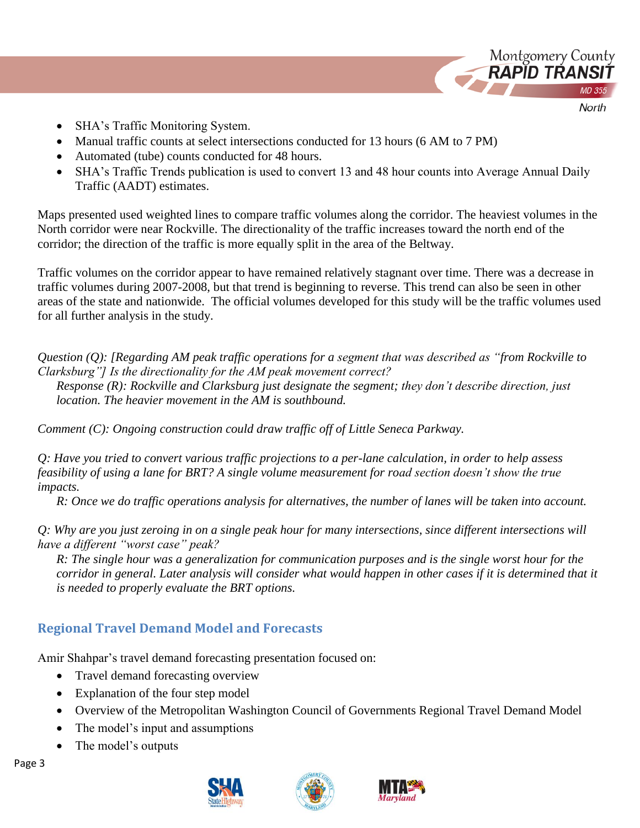

SHA's Traffic Monitoring System.

- Manual traffic counts at select intersections conducted for 13 hours (6 AM to 7 PM)
- Automated (tube) counts conducted for 48 hours.
- SHA's Traffic Trends publication is used to convert 13 and 48 hour counts into Average Annual Daily Traffic (AADT) estimates.

Maps presented used weighted lines to compare traffic volumes along the corridor. The heaviest volumes in the North corridor were near Rockville. The directionality of the traffic increases toward the north end of the corridor; the direction of the traffic is more equally split in the area of the Beltway.

Traffic volumes on the corridor appear to have remained relatively stagnant over time. There was a decrease in traffic volumes during 2007-2008, but that trend is beginning to reverse. This trend can also be seen in other areas of the state and nationwide. The official volumes developed for this study will be the traffic volumes used for all further analysis in the study.

*Question (Q): [Regarding AM peak traffic operations for a segment that was described as "from Rockville to Clarksburg"] Is the directionality for the AM peak movement correct? Response (R): Rockville and Clarksburg just designate the segment; they don't describe direction, just location. The heavier movement in the AM is southbound.*

*Comment (C): Ongoing construction could draw traffic off of Little Seneca Parkway.*

*Q: Have you tried to convert various traffic projections to a per-lane calculation, in order to help assess feasibility of using a lane for BRT? A single volume measurement for road section doesn't show the true impacts.* 

*R: Once we do traffic operations analysis for alternatives, the number of lanes will be taken into account.* 

*Q: Why are you just zeroing in on a single peak hour for many intersections, since different intersections will have a different "worst case" peak?*

*R: The single hour was a generalization for communication purposes and is the single worst hour for the corridor in general. Later analysis will consider what would happen in other cases if it is determined that it is needed to properly evaluate the BRT options.*

## **Regional Travel Demand Model and Forecasts**

Amir Shahpar's travel demand forecasting presentation focused on:

- Travel demand forecasting overview
- Explanation of the four step model
- Overview of the Metropolitan Washington Council of Governments Regional Travel Demand Model
- The model's input and assumptions
- The model's outputs





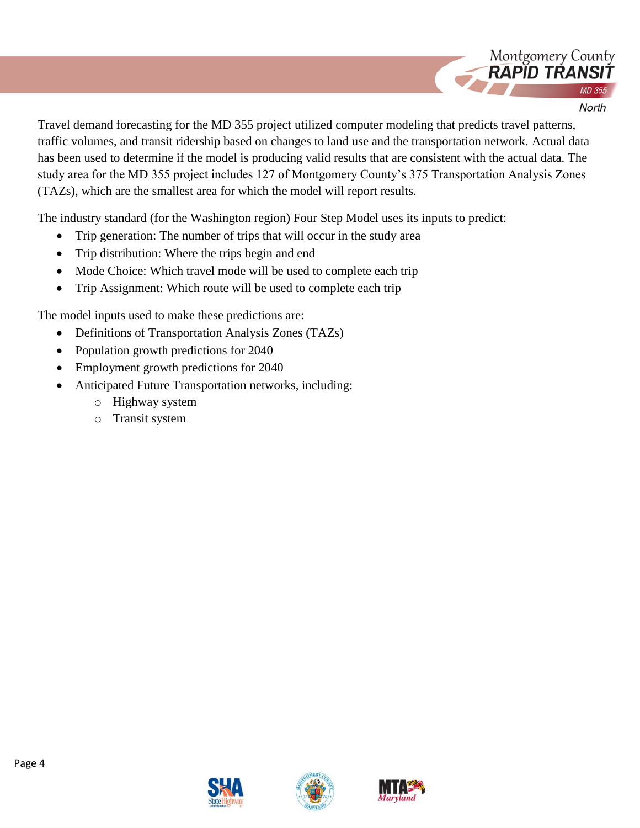

Travel demand forecasting for the MD 355 project utilized computer modeling that predicts travel patterns, traffic volumes, and transit ridership based on changes to land use and the transportation network. Actual data has been used to determine if the model is producing valid results that are consistent with the actual data. The study area for the MD 355 project includes 127 of Montgomery County's 375 Transportation Analysis Zones (TAZs), which are the smallest area for which the model will report results.

The industry standard (for the Washington region) Four Step Model uses its inputs to predict:

- Trip generation: The number of trips that will occur in the study area
- Trip distribution: Where the trips begin and end
- Mode Choice: Which travel mode will be used to complete each trip
- Trip Assignment: Which route will be used to complete each trip

The model inputs used to make these predictions are:

- Definitions of Transportation Analysis Zones (TAZs)
- Population growth predictions for 2040
- Employment growth predictions for 2040
- Anticipated Future Transportation networks, including:
	- o Highway system
	- o Transit system





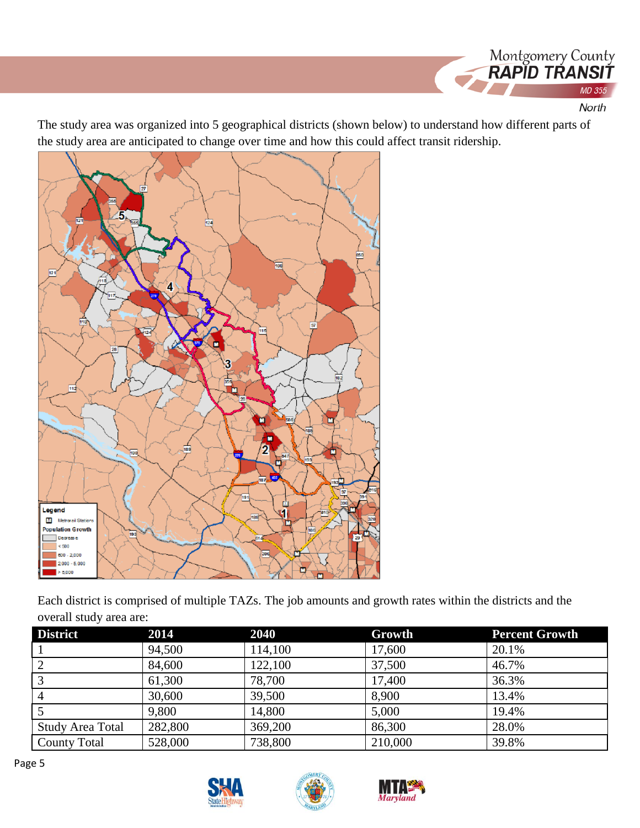

The study area was organized into 5 geographical districts (shown below) to understand how different parts of the study area are anticipated to change over time and how this could affect transit ridership.



Each district is comprised of multiple TAZs. The job amounts and growth rates within the districts and the overall study area are:

| <b>District</b>         | 2014    | 2040    | Growth  | <b>Percent Growth</b> |
|-------------------------|---------|---------|---------|-----------------------|
|                         | 94,500  | 114,100 | 17,600  | 20.1%                 |
| 2                       | 84,600  | 122,100 | 37,500  | 46.7%                 |
|                         | 61,300  | 78,700  | 17,400  | 36.3%                 |
| 4                       | 30,600  | 39,500  | 8,900   | 13.4%                 |
|                         | 9,800   | 14,800  | 5,000   | 19.4%                 |
| <b>Study Area Total</b> | 282,800 | 369,200 | 86,300  | 28.0%                 |
| <b>County Total</b>     | 528,000 | 738,800 | 210,000 | 39.8%                 |





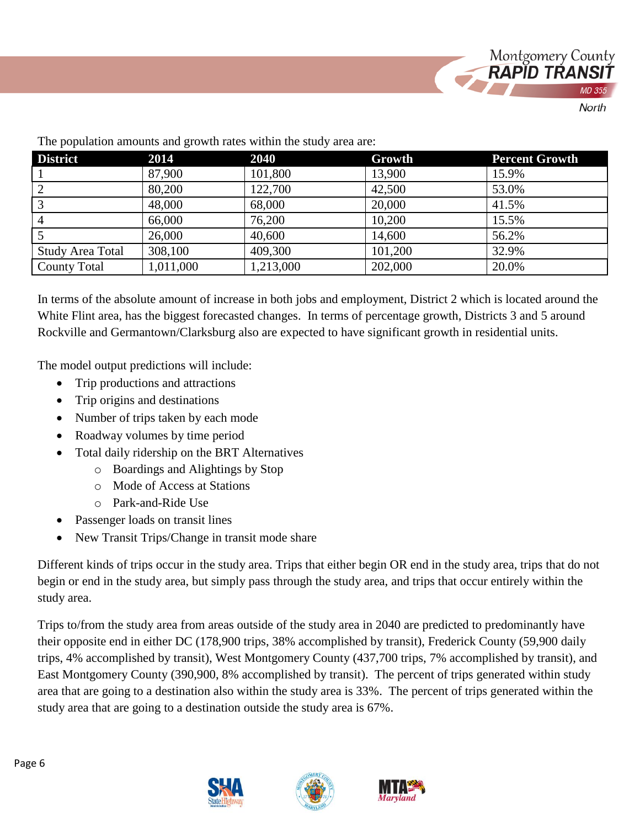

| .<br><b>District</b>    | 2014      | 2040      | Growth  | <b>Percent Growth</b> |
|-------------------------|-----------|-----------|---------|-----------------------|
|                         | 87,900    | 101,800   | 13,900  | 15.9%                 |
| 2                       | 80,200    | 122,700   | 42,500  | 53.0%                 |
| 3                       | 48,000    | 68,000    | 20,000  | 41.5%                 |
| $\overline{4}$          | 66,000    | 76,200    | 10,200  | 15.5%                 |
|                         | 26,000    | 40,600    | 14,600  | 56.2%                 |
| <b>Study Area Total</b> | 308,100   | 409,300   | 101,200 | 32.9%                 |
| <b>County Total</b>     | 1,011,000 | 1,213,000 | 202,000 | 20.0%                 |

The population amounts and growth rates within the study area are:

In terms of the absolute amount of increase in both jobs and employment, District 2 which is located around the White Flint area, has the biggest forecasted changes. In terms of percentage growth, Districts 3 and 5 around Rockville and Germantown/Clarksburg also are expected to have significant growth in residential units.

The model output predictions will include:

- Trip productions and attractions
- Trip origins and destinations
- Number of trips taken by each mode
- Roadway volumes by time period
- Total daily ridership on the BRT Alternatives
	- o Boardings and Alightings by Stop
	- o Mode of Access at Stations
	- o Park-and-Ride Use
- Passenger loads on transit lines
- New Transit Trips/Change in transit mode share

Different kinds of trips occur in the study area. Trips that either begin OR end in the study area, trips that do not begin or end in the study area, but simply pass through the study area, and trips that occur entirely within the study area.

Trips to/from the study area from areas outside of the study area in 2040 are predicted to predominantly have their opposite end in either DC (178,900 trips, 38% accomplished by transit), Frederick County (59,900 daily trips, 4% accomplished by transit), West Montgomery County (437,700 trips, 7% accomplished by transit), and East Montgomery County (390,900, 8% accomplished by transit). The percent of trips generated within study area that are going to a destination also within the study area is 33%. The percent of trips generated within the study area that are going to a destination outside the study area is 67%.





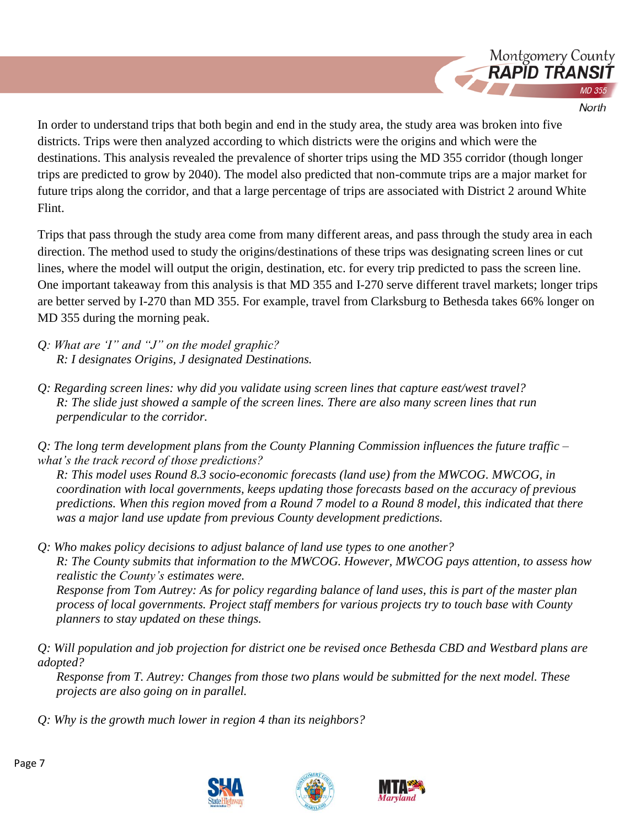

North

In order to understand trips that both begin and end in the study area, the study area was broken into five districts. Trips were then analyzed according to which districts were the origins and which were the destinations. This analysis revealed the prevalence of shorter trips using the MD 355 corridor (though longer trips are predicted to grow by 2040). The model also predicted that non-commute trips are a major market for future trips along the corridor, and that a large percentage of trips are associated with District 2 around White Flint.

Trips that pass through the study area come from many different areas, and pass through the study area in each direction. The method used to study the origins/destinations of these trips was designating screen lines or cut lines, where the model will output the origin, destination, etc. for every trip predicted to pass the screen line. One important takeaway from this analysis is that MD 355 and I-270 serve different travel markets; longer trips are better served by I-270 than MD 355. For example, travel from Clarksburg to Bethesda takes 66% longer on MD 355 during the morning peak.

- *Q: What are 'I" and "J" on the model graphic? R: I designates Origins, J designated Destinations.*
- *Q: Regarding screen lines: why did you validate using screen lines that capture east/west travel? R: The slide just showed a sample of the screen lines. There are also many screen lines that run perpendicular to the corridor.*

*Q: The long term development plans from the County Planning Commission influences the future traffic – what's the track record of those predictions?*

*R: This model uses Round 8.3 socio-economic forecasts (land use) from the MWCOG. MWCOG, in coordination with local governments, keeps updating those forecasts based on the accuracy of previous predictions. When this region moved from a Round 7 model to a Round 8 model, this indicated that there was a major land use update from previous County development predictions.*

*Q: Who makes policy decisions to adjust balance of land use types to one another? R: The County submits that information to the MWCOG. However, MWCOG pays attention, to assess how realistic the County's estimates were.*

*Response from Tom Autrey: As for policy regarding balance of land uses, this is part of the master plan process of local governments. Project staff members for various projects try to touch base with County planners to stay updated on these things.* 

*Q: Will population and job projection for district one be revised once Bethesda CBD and Westbard plans are adopted?*

*Response from T. Autrey: Changes from those two plans would be submitted for the next model. These projects are also going on in parallel.* 

*Q: Why is the growth much lower in region 4 than its neighbors?*





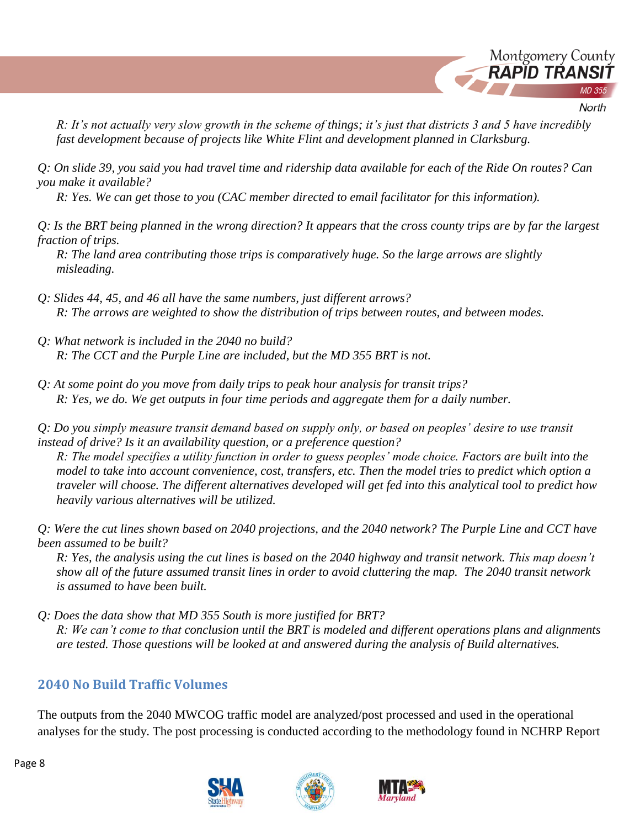

North

*R: It's not actually very slow growth in the scheme of things; it's just that districts 3 and 5 have incredibly fast development because of projects like White Flint and development planned in Clarksburg.* 

*Q: On slide 39, you said you had travel time and ridership data available for each of the Ride On routes? Can you make it available?*

*R: Yes. We can get those to you (CAC member directed to email facilitator for this information).* 

*Q: Is the BRT being planned in the wrong direction? It appears that the cross county trips are by far the largest fraction of trips.*

*R: The land area contributing those trips is comparatively huge. So the large arrows are slightly misleading.*

- *Q: Slides 44, 45, and 46 all have the same numbers, just different arrows? R: The arrows are weighted to show the distribution of trips between routes, and between modes.*
- *Q: What network is included in the 2040 no build? R: The CCT and the Purple Line are included, but the MD 355 BRT is not.*
- *Q: At some point do you move from daily trips to peak hour analysis for transit trips? R: Yes, we do. We get outputs in four time periods and aggregate them for a daily number.*

*Q: Do you simply measure transit demand based on supply only, or based on peoples' desire to use transit instead of drive? Is it an availability question, or a preference question?* 

*R: The model specifies a utility function in order to guess peoples' mode choice. Factors are built into the model to take into account convenience, cost, transfers, etc. Then the model tries to predict which option a traveler will choose. The different alternatives developed will get fed into this analytical tool to predict how heavily various alternatives will be utilized.*

*Q: Were the cut lines shown based on 2040 projections, and the 2040 network? The Purple Line and CCT have been assumed to be built?*

*R: Yes, the analysis using the cut lines is based on the 2040 highway and transit network. This map doesn't show all of the future assumed transit lines in order to avoid cluttering the map. The 2040 transit network is assumed to have been built.*

*Q: Does the data show that MD 355 South is more justified for BRT? R: We can't come to that conclusion until the BRT is modeled and different operations plans and alignments are tested. Those questions will be looked at and answered during the analysis of Build alternatives.*

## **2040 No Build Traffic Volumes**

The outputs from the 2040 MWCOG traffic model are analyzed/post processed and used in the operational analyses for the study. The post processing is conducted according to the methodology found in NCHRP Report







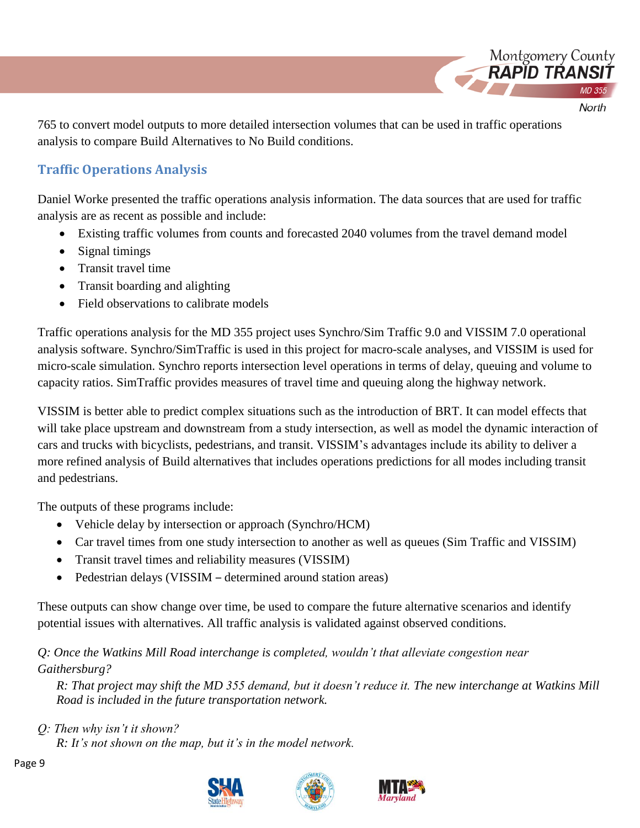765 to convert model outputs to more detailed intersection volumes that can be used in traffic operations analysis to compare Build Alternatives to No Build conditions.

Montgomery County RAPID TRANS

North

# **Traffic Operations Analysis**

Daniel Worke presented the traffic operations analysis information. The data sources that are used for traffic analysis are as recent as possible and include:

- Existing traffic volumes from counts and forecasted 2040 volumes from the travel demand model
- Signal timings
- Transit travel time
- Transit boarding and alighting
- Field observations to calibrate models

Traffic operations analysis for the MD 355 project uses Synchro/Sim Traffic 9.0 and VISSIM 7.0 operational analysis software. Synchro/SimTraffic is used in this project for macro-scale analyses, and VISSIM is used for micro-scale simulation. Synchro reports intersection level operations in terms of delay, queuing and volume to capacity ratios. SimTraffic provides measures of travel time and queuing along the highway network.

VISSIM is better able to predict complex situations such as the introduction of BRT. It can model effects that will take place upstream and downstream from a study intersection, as well as model the dynamic interaction of cars and trucks with bicyclists, pedestrians, and transit. VISSIM's advantages include its ability to deliver a more refined analysis of Build alternatives that includes operations predictions for all modes including transit and pedestrians.

The outputs of these programs include:

- Vehicle delay by intersection or approach (Synchro/HCM)
- Car travel times from one study intersection to another as well as queues (Sim Traffic and VISSIM)
- Transit travel times and reliability measures (VISSIM)
- Pedestrian delays (VISSIM determined around station areas)

These outputs can show change over time, be used to compare the future alternative scenarios and identify potential issues with alternatives. All traffic analysis is validated against observed conditions.

*Q: Once the Watkins Mill Road interchange is completed, wouldn't that alleviate congestion near Gaithersburg?*

*R: That project may shift the MD 355 demand, but it doesn't reduce it. The new interchange at Watkins Mill Road is included in the future transportation network.*

*Q: Then why isn't it shown?*

*R: It's not shown on the map, but it's in the model network.* 







Page 9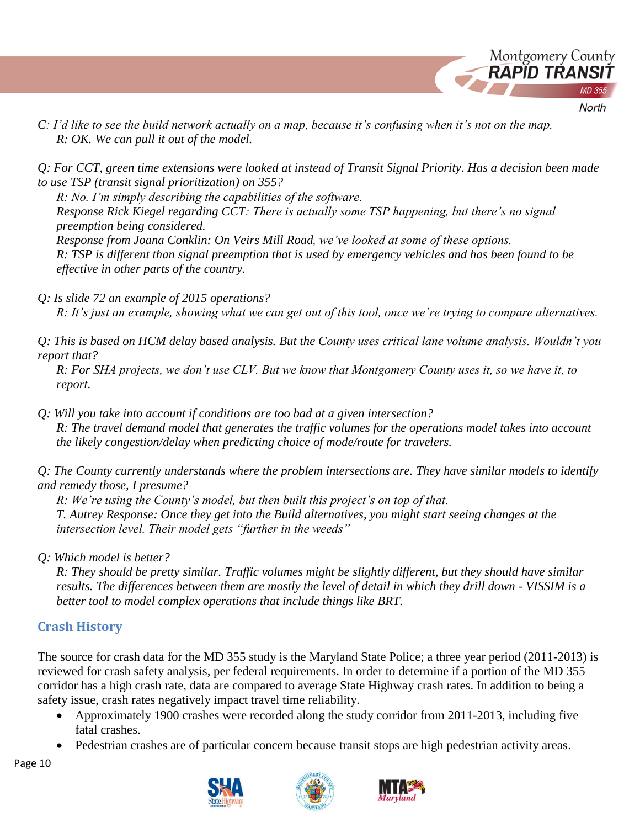

*C: I'd like to see the build network actually on a map, because it's confusing when it's not on the map. R: OK. We can pull it out of the model.*

*Q: For CCT, green time extensions were looked at instead of Transit Signal Priority. Has a decision been made to use TSP (transit signal prioritization) on 355?*

*R: No. I'm simply describing the capabilities of the software.*

*Response Rick Kiegel regarding CCT: There is actually some TSP happening, but there's no signal preemption being considered.* 

*Response from Joana Conklin: On Veirs Mill Road, we've looked at some of these options. R: TSP is different than signal preemption that is used by emergency vehicles and has been found to be effective in other parts of the country.*

*Q: Is slide 72 an example of 2015 operations?*

*R: It's just an example, showing what we can get out of this tool, once we're trying to compare alternatives.* 

*Q: This is based on HCM delay based analysis. But the County uses critical lane volume analysis. Wouldn't you report that?*

*R: For SHA projects, we don't use CLV. But we know that Montgomery County uses it, so we have it, to report.* 

*Q: Will you take into account if conditions are too bad at a given intersection? R: The travel demand model that generates the traffic volumes for the operations model takes into account the likely congestion/delay when predicting choice of mode/route for travelers.*

*Q: The County currently understands where the problem intersections are. They have similar models to identify and remedy those, I presume?*

*R: We're using the County's model, but then built this project's on top of that. T. Autrey Response: Once they get into the Build alternatives, you might start seeing changes at the intersection level. Their model gets "further in the weeds"*

*Q: Which model is better?*

*R: They should be pretty similar. Traffic volumes might be slightly different, but they should have similar results. The differences between them are mostly the level of detail in which they drill down - VISSIM is a better tool to model complex operations that include things like BRT.*

## **Crash History**

The source for crash data for the MD 355 study is the Maryland State Police; a three year period (2011-2013) is reviewed for crash safety analysis, per federal requirements. In order to determine if a portion of the MD 355 corridor has a high crash rate, data are compared to average State Highway crash rates. In addition to being a safety issue, crash rates negatively impact travel time reliability.

- Approximately 1900 crashes were recorded along the study corridor from 2011-2013, including five fatal crashes.
- Pedestrian crashes are of particular concern because transit stops are high pedestrian activity areas.



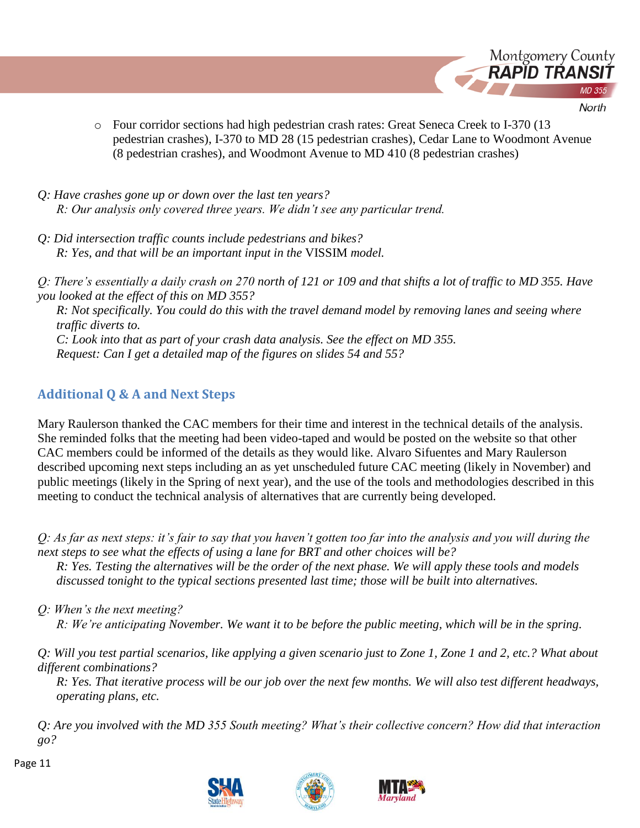

- o Four corridor sections had high pedestrian crash rates: Great Seneca Creek to I-370 (13 pedestrian crashes), I-370 to MD 28 (15 pedestrian crashes), Cedar Lane to Woodmont Avenue (8 pedestrian crashes), and Woodmont Avenue to MD 410 (8 pedestrian crashes)
- *Q: Have crashes gone up or down over the last ten years? R: Our analysis only covered three years. We didn't see any particular trend.*
- *Q: Did intersection traffic counts include pedestrians and bikes? R: Yes, and that will be an important input in the* VISSIM *model.*

*Q: There's essentially a daily crash on 270 north of 121 or 109 and that shifts a lot of traffic to MD 355. Have you looked at the effect of this on MD 355?*

*R: Not specifically. You could do this with the travel demand model by removing lanes and seeing where traffic diverts to. C: Look into that as part of your crash data analysis. See the effect on MD 355. Request: Can I get a detailed map of the figures on slides 54 and 55?*

## **Additional Q & A and Next Steps**

Mary Raulerson thanked the CAC members for their time and interest in the technical details of the analysis. She reminded folks that the meeting had been video-taped and would be posted on the website so that other CAC members could be informed of the details as they would like. Alvaro Sifuentes and Mary Raulerson described upcoming next steps including an as yet unscheduled future CAC meeting (likely in November) and public meetings (likely in the Spring of next year), and the use of the tools and methodologies described in this meeting to conduct the technical analysis of alternatives that are currently being developed.

*Q: As far as next steps: it's fair to say that you haven't gotten too far into the analysis and you will during the next steps to see what the effects of using a lane for BRT and other choices will be?*

*R: Yes. Testing the alternatives will be the order of the next phase. We will apply these tools and models discussed tonight to the typical sections presented last time; those will be built into alternatives.* 

*Q: When's the next meeting? R: We're anticipating November. We want it to be before the public meeting, which will be in the spring.*

*Q: Will you test partial scenarios, like applying a given scenario just to Zone 1, Zone 1 and 2, etc.? What about different combinations?*

*R: Yes. That iterative process will be our job over the next few months. We will also test different headways, operating plans, etc.* 

*Q: Are you involved with the MD 355 South meeting? What's their collective concern? How did that interaction go?*